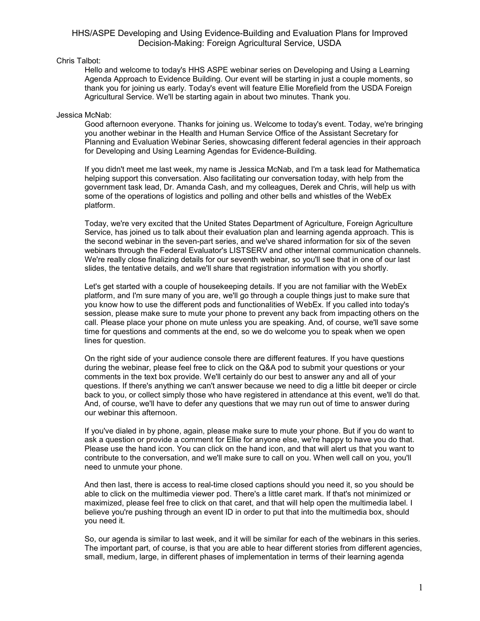## Chris Talbot:

Hello and welcome to today's HHS ASPE webinar series on Developing and Using a Learning Agenda Approach to Evidence Building. Our event will be starting in just a couple moments, so thank you for joining us early. Today's event will feature Ellie Morefield from the USDA Foreign Agricultural Service. We'll be starting again in about two minutes. Thank you.

## Jessica McNab:

Good afternoon everyone. Thanks for joining us. Welcome to today's event. Today, we're bringing you another webinar in the Health and Human Service Office of the Assistant Secretary for Planning and Evaluation Webinar Series, showcasing different federal agencies in their approach for Developing and Using Learning Agendas for Evidence-Building.

If you didn't meet me last week, my name is Jessica McNab, and I'm a task lead for Mathematica helping support this conversation. Also facilitating our conversation today, with help from the government task lead, Dr. Amanda Cash, and my colleagues, Derek and Chris, will help us with some of the operations of logistics and polling and other bells and whistles of the WebEx platform.

Today, we're very excited that the United States Department of Agriculture, Foreign Agriculture Service, has joined us to talk about their evaluation plan and learning agenda approach. This is the second webinar in the seven-part series, and we've shared information for six of the seven webinars through the Federal Evaluator's LISTSERV and other internal communication channels. We're really close finalizing details for our seventh webinar, so you'll see that in one of our last slides, the tentative details, and we'll share that registration information with you shortly.

Let's get started with a couple of housekeeping details. If you are not familiar with the WebEx platform, and I'm sure many of you are, we'll go through a couple things just to make sure that you know how to use the different pods and functionalities of WebEx. If you called into today's session, please make sure to mute your phone to prevent any back from impacting others on the call. Please place your phone on mute unless you are speaking. And, of course, we'll save some time for questions and comments at the end, so we do welcome you to speak when we open lines for question.

On the right side of your audience console there are different features. If you have questions during the webinar, please feel free to click on the Q&A pod to submit your questions or your comments in the text box provide. We'll certainly do our best to answer any and all of your questions. If there's anything we can't answer because we need to dig a little bit deeper or circle back to you, or collect simply those who have registered in attendance at this event, we'll do that. And, of course, we'll have to defer any questions that we may run out of time to answer during our webinar this afternoon.

If you've dialed in by phone, again, please make sure to mute your phone. But if you do want to ask a question or provide a comment for Ellie for anyone else, we're happy to have you do that. Please use the hand icon. You can click on the hand icon, and that will alert us that you want to contribute to the conversation, and we'll make sure to call on you. When well call on you, you'll need to unmute your phone.

And then last, there is access to real-time closed captions should you need it, so you should be able to click on the multimedia viewer pod. There's a little caret mark. If that's not minimized or maximized, please feel free to click on that caret, and that will help open the multimedia label. I believe you're pushing through an event ID in order to put that into the multimedia box, should you need it.

So, our agenda is similar to last week, and it will be similar for each of the webinars in this series. The important part, of course, is that you are able to hear different stories from different agencies, small, medium, large, in different phases of implementation in terms of their learning agenda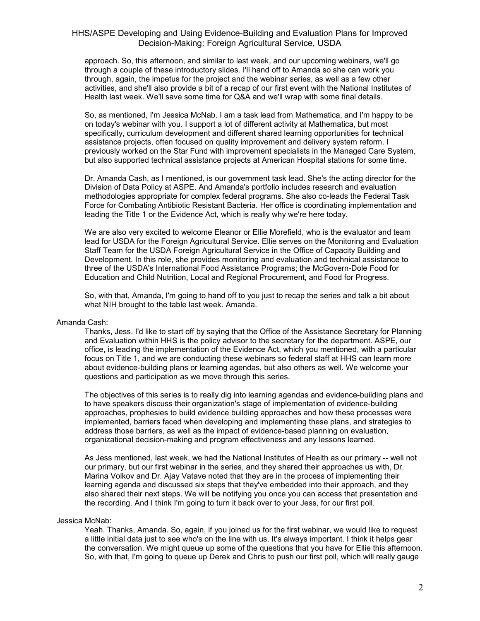approach. So, this afternoon, and similar to last week, and our upcoming webinars, we'll go through a couple of these introductory slides. I'll hand off to Amanda so she can work you through, again, the impetus for the project and the webinar series, as well as a few other activities, and she'll also provide a bit of a recap of our first event with the National Institutes of Health last week. We'll save some time for Q&A and we'll wrap with some final details.

So, as mentioned, I'm Jessica McNab. I am a task lead from Mathematica, and I'm happy to be on today's webinar with you. I support a lot of different activity at Mathematica, but most specifically, curriculum development and different shared learning opportunities for technical assistance projects, often focused on quality improvement and delivery system reform. I previously worked on the Star Fund with improvement specialists in the Managed Care System, but also supported technical assistance projects at American Hospital stations for some time.

Dr. Amanda Cash, as I mentioned, is our government task lead. She's the acting director for the Division of Data Policy at ASPE. And Amanda's portfolio includes research and evaluation methodologies appropriate for complex federal programs. She also co-leads the Federal Task Force for Combating Antibiotic Resistant Bacteria. Her office is coordinating implementation and leading the Title 1 or the Evidence Act, which is really why we're here today.

We are also very excited to welcome Eleanor or Ellie Morefield, who is the evaluator and team lead for USDA for the Foreign Agricultural Service. Ellie serves on the Monitoring and Evaluation Staff Team for the USDA Foreign Agricultural Service in the Office of Capacity Building and Development. In this role, she provides monitoring and evaluation and technical assistance to three of the USDA's International Food Assistance Programs; the McGovern-Dole Food for Education and Child Nutrition, Local and Regional Procurement, and Food for Progress.

So, with that, Amanda, I'm going to hand off to you just to recap the series and talk a bit about what NIH brought to the table last week. Amanda.

### Amanda Cash:

Thanks, Jess. I'd like to start off by saying that the Office of the Assistance Secretary for Planning and Evaluation within HHS is the policy advisor to the secretary for the department. ASPE, our office, is leading the implementation of the Evidence Act, which you mentioned, with a particular focus on Title 1, and we are conducting these webinars so federal staff at HHS can learn more about evidence-building plans or learning agendas, but also others as well. We welcome your questions and participation as we move through this series.

The objectives of this series is to really dig into learning agendas and evidence-building plans and to have speakers discuss their organization's stage of implementation of evidence-building approaches, prophesies to build evidence building approaches and how these processes were implemented, barriers faced when developing and implementing these plans, and strategies to address those barriers, as well as the impact of evidence-based planning on evaluation, organizational decision-making and program effectiveness and any lessons learned.

As Jess mentioned, last week, we had the National Institutes of Health as our primary -- well not our primary, but our first webinar in the series, and they shared their approaches us with, Dr. Marina Volkov and Dr. Ajay Vatave noted that they are in the process of implementing their learning agenda and discussed six steps that they've embedded into their approach, and they also shared their next steps. We will be notifying you once you can access that presentation and the recording. And I think I'm going to turn it back over to your Jess, for our first poll.

### Jessica McNab:

Yeah. Thanks, Amanda. So, again, if you joined us for the first webinar, we would like to request a little initial data just to see who's on the line with us. It's always important. I think it helps gear the conversation. We might queue up some of the questions that you have for Ellie this afternoon. So, with that, I'm going to queue up Derek and Chris to push our first poll, which will really gauge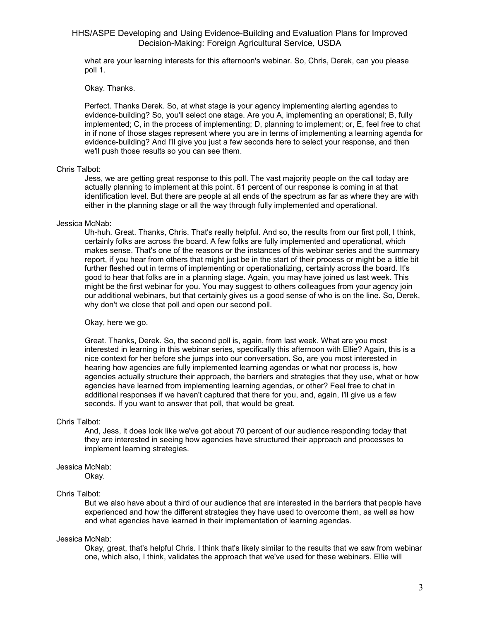what are your learning interests for this afternoon's webinar. So, Chris, Derek, can you please poll 1.

### Okay. Thanks.

Perfect. Thanks Derek. So, at what stage is your agency implementing alerting agendas to evidence-building? So, you'll select one stage. Are you A, implementing an operational; B, fully implemented; C, in the process of implementing; D, planning to implement; or, E, feel free to chat in if none of those stages represent where you are in terms of implementing a learning agenda for evidence-building? And I'll give you just a few seconds here to select your response, and then we'll push those results so you can see them.

### Chris Talbot:

Jess, we are getting great response to this poll. The vast majority people on the call today are actually planning to implement at this point. 61 percent of our response is coming in at that identification level. But there are people at all ends of the spectrum as far as where they are with either in the planning stage or all the way through fully implemented and operational.

### Jessica McNab:

Uh-huh. Great. Thanks, Chris. That's really helpful. And so, the results from our first poll, I think, certainly folks are across the board. A few folks are fully implemented and operational, which makes sense. That's one of the reasons or the instances of this webinar series and the summary report, if you hear from others that might just be in the start of their process or might be a little bit further fleshed out in terms of implementing or operationalizing, certainly across the board. It's good to hear that folks are in a planning stage. Again, you may have joined us last week. This might be the first webinar for you. You may suggest to others colleagues from your agency join our additional webinars, but that certainly gives us a good sense of who is on the line. So, Derek, why don't we close that poll and open our second poll.

### Okay, here we go.

Great. Thanks, Derek. So, the second poll is, again, from last week. What are you most interested in learning in this webinar series, specifically this afternoon with Ellie? Again, this is a nice context for her before she jumps into our conversation. So, are you most interested in hearing how agencies are fully implemented learning agendas or what nor process is, how agencies actually structure their approach, the barriers and strategies that they use, what or how agencies have learned from implementing learning agendas, or other? Feel free to chat in additional responses if we haven't captured that there for you, and, again, I'll give us a few seconds. If you want to answer that poll, that would be great.

### Chris Talbot:

And, Jess, it does look like we've got about 70 percent of our audience responding today that they are interested in seeing how agencies have structured their approach and processes to implement learning strategies.

### Jessica McNab:

Okay.

### Chris Talbot:

But we also have about a third of our audience that are interested in the barriers that people have experienced and how the different strategies they have used to overcome them, as well as how and what agencies have learned in their implementation of learning agendas.

### Jessica McNab:

Okay, great, that's helpful Chris. I think that's likely similar to the results that we saw from webinar one, which also, I think, validates the approach that we've used for these webinars. Ellie will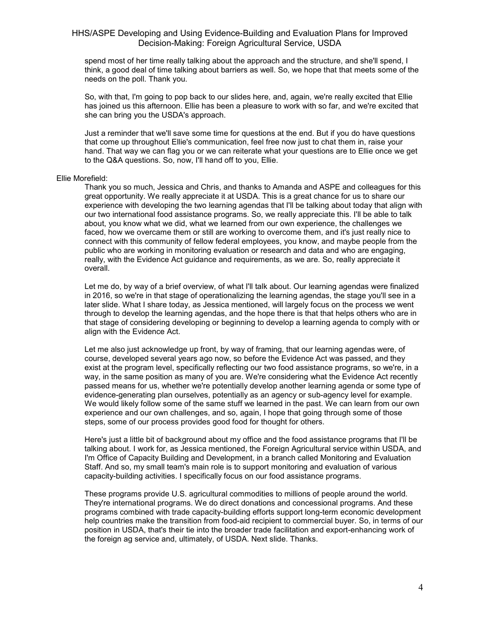spend most of her time really talking about the approach and the structure, and she'll spend, I think, a good deal of time talking about barriers as well. So, we hope that that meets some of the needs on the poll. Thank you.

So, with that, I'm going to pop back to our slides here, and, again, we're really excited that Ellie has joined us this afternoon. Ellie has been a pleasure to work with so far, and we're excited that she can bring you the USDA's approach.

Just a reminder that we'll save some time for questions at the end. But if you do have questions that come up throughout Ellie's communication, feel free now just to chat them in, raise your hand. That way we can flag you or we can reiterate what your questions are to Ellie once we get to the Q&A questions. So, now, I'll hand off to you, Ellie.

### Ellie Morefield:

Thank you so much, Jessica and Chris, and thanks to Amanda and ASPE and colleagues for this great opportunity. We really appreciate it at USDA. This is a great chance for us to share our experience with developing the two learning agendas that I'll be talking about today that align with our two international food assistance programs. So, we really appreciate this. I'll be able to talk about, you know what we did, what we learned from our own experience, the challenges we faced, how we overcame them or still are working to overcome them, and it's just really nice to connect with this community of fellow federal employees, you know, and maybe people from the public who are working in monitoring evaluation or research and data and who are engaging, really, with the Evidence Act guidance and requirements, as we are. So, really appreciate it overall.

Let me do, by way of a brief overview, of what I'll talk about. Our learning agendas were finalized in 2016, so we're in that stage of operationalizing the learning agendas, the stage you'll see in a later slide. What I share today, as Jessica mentioned, will largely focus on the process we went through to develop the learning agendas, and the hope there is that that helps others who are in that stage of considering developing or beginning to develop a learning agenda to comply with or align with the Evidence Act.

Let me also just acknowledge up front, by way of framing, that our learning agendas were, of course, developed several years ago now, so before the Evidence Act was passed, and they exist at the program level, specifically reflecting our two food assistance programs, so we're, in a way, in the same position as many of you are. We're considering what the Evidence Act recently passed means for us, whether we're potentially develop another learning agenda or some type of evidence-generating plan ourselves, potentially as an agency or sub-agency level for example. We would likely follow some of the same stuff we learned in the past. We can learn from our own experience and our own challenges, and so, again, I hope that going through some of those steps, some of our process provides good food for thought for others.

Here's just a little bit of background about my office and the food assistance programs that I'll be talking about. I work for, as Jessica mentioned, the Foreign Agricultural service within USDA, and I'm Office of Capacity Building and Development, in a branch called Monitoring and Evaluation Staff. And so, my small team's main role is to support monitoring and evaluation of various capacity-building activities. I specifically focus on our food assistance programs.

These programs provide U.S. agricultural commodities to millions of people around the world. They're international programs. We do direct donations and concessional programs. And these programs combined with trade capacity-building efforts support long-term economic development help countries make the transition from food-aid recipient to commercial buyer. So, in terms of our position in USDA, that's their tie into the broader trade facilitation and export-enhancing work of the foreign ag service and, ultimately, of USDA. Next slide. Thanks.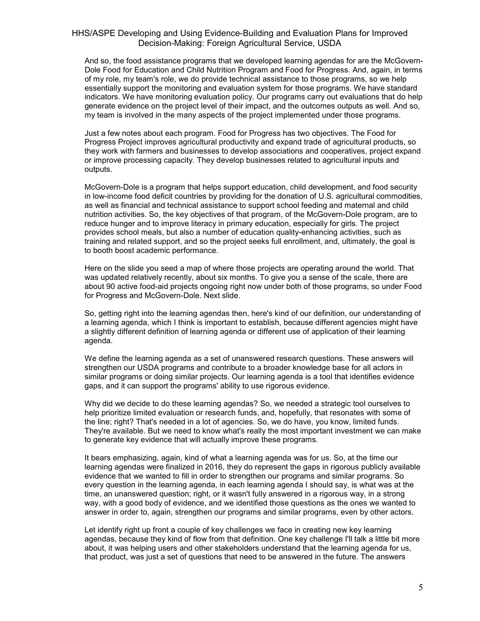And so, the food assistance programs that we developed learning agendas for are the McGovern-Dole Food for Education and Child Nutrition Program and Food for Progress. And, again, in terms of my role, my team's role, we do provide technical assistance to those programs, so we help essentially support the monitoring and evaluation system for those programs. We have standard indicators. We have monitoring evaluation policy. Our programs carry out evaluations that do help generate evidence on the project level of their impact, and the outcomes outputs as well. And so, my team is involved in the many aspects of the project implemented under those programs.

Just a few notes about each program. Food for Progress has two objectives. The Food for Progress Project improves agricultural productivity and expand trade of agricultural products, so they work with farmers and businesses to develop associations and cooperatives, project expand or improve processing capacity. They develop businesses related to agricultural inputs and outputs.

McGovern-Dole is a program that helps support education, child development, and food security in low-income food deficit countries by providing for the donation of U.S. agricultural commodities, as well as financial and technical assistance to support school feeding and maternal and child nutrition activities. So, the key objectives of that program, of the McGovern-Dole program, are to reduce hunger and to improve literacy in primary education, especially for girls. The project provides school meals, but also a number of education quality-enhancing activities, such as training and related support, and so the project seeks full enrollment, and, ultimately, the goal is to booth boost academic performance.

Here on the slide you seed a map of where those projects are operating around the world. That was updated relatively recently, about six months. To give you a sense of the scale, there are about 90 active food-aid projects ongoing right now under both of those programs, so under Food for Progress and McGovern-Dole. Next slide.

So, getting right into the learning agendas then, here's kind of our definition, our understanding of a learning agenda, which I think is important to establish, because different agencies might have a slightly different definition of learning agenda or different use of application of their learning agenda.

We define the learning agenda as a set of unanswered research questions. These answers will strengthen our USDA programs and contribute to a broader knowledge base for all actors in similar programs or doing similar projects. Our learning agenda is a tool that identifies evidence gaps, and it can support the programs' ability to use rigorous evidence.

Why did we decide to do these learning agendas? So, we needed a strategic tool ourselves to help prioritize limited evaluation or research funds, and, hopefully, that resonates with some of the line; right? That's needed in a lot of agencies. So, we do have, you know, limited funds. They're available. But we need to know what's really the most important investment we can make to generate key evidence that will actually improve these programs.

It bears emphasizing, again, kind of what a learning agenda was for us. So, at the time our learning agendas were finalized in 2016, they do represent the gaps in rigorous publicly available evidence that we wanted to fill in order to strengthen our programs and similar programs. So every question in the learning agenda, in each learning agenda I should say, is what was at the time, an unanswered question; right, or it wasn't fully answered in a rigorous way, in a strong way, with a good body of evidence, and we identified those questions as the ones we wanted to answer in order to, again, strengthen our programs and similar programs, even by other actors.

Let identify right up front a couple of key challenges we face in creating new key learning agendas, because they kind of flow from that definition. One key challenge I'll talk a little bit more about, it was helping users and other stakeholders understand that the learning agenda for us, that product, was just a set of questions that need to be answered in the future. The answers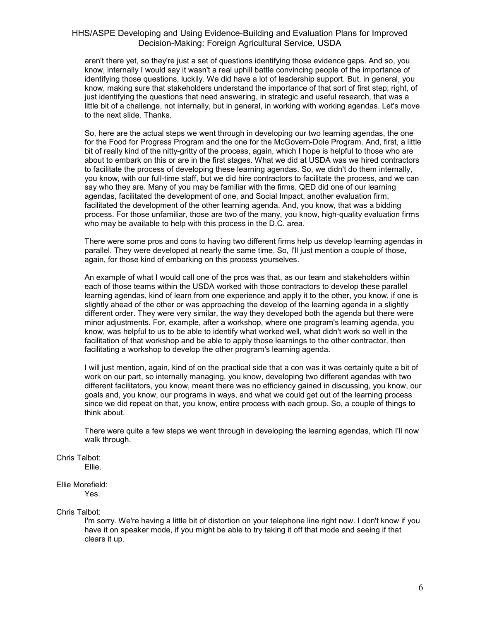aren't there yet, so they're just a set of questions identifying those evidence gaps. And so, you know, internally I would say it wasn't a real uphill battle convincing people of the importance of identifying those questions, luckily. We did have a lot of leadership support. But, in general, you know, making sure that stakeholders understand the importance of that sort of first step; right, of just identifying the questions that need answering, in strategic and useful research, that was a little bit of a challenge, not internally, but in general, in working with working agendas. Let's move to the next slide. Thanks.

So, here are the actual steps we went through in developing our two learning agendas, the one for the Food for Progress Program and the one for the McGovern-Dole Program. And, first, a little bit of really kind of the nitty-gritty of the process, again, which I hope is helpful to those who are about to embark on this or are in the first stages. What we did at USDA was we hired contractors to facilitate the process of developing these learning agendas. So, we didn't do them internally, you know, with our full-time staff, but we did hire contractors to facilitate the process, and we can say who they are. Many of you may be familiar with the firms. QED did one of our learning agendas, facilitated the development of one, and Social Impact, another evaluation firm, facilitated the development of the other learning agenda. And, you know, that was a bidding process. For those unfamiliar, those are two of the many, you know, high-quality evaluation firms who may be available to help with this process in the D.C. area.

There were some pros and cons to having two different firms help us develop learning agendas in parallel. They were developed at nearly the same time. So, I'll just mention a couple of those, again, for those kind of embarking on this process yourselves.

An example of what I would call one of the pros was that, as our team and stakeholders within each of those teams within the USDA worked with those contractors to develop these parallel learning agendas, kind of learn from one experience and apply it to the other, you know, if one is slightly ahead of the other or was approaching the develop of the learning agenda in a slightly different order. They were very similar, the way they developed both the agenda but there were minor adjustments. For, example, after a workshop, where one program's learning agenda, you know, was helpful to us to be able to identify what worked well, what didn't work so well in the facilitation of that workshop and be able to apply those learnings to the other contractor, then facilitating a workshop to develop the other program's learning agenda.

I will just mention, again, kind of on the practical side that a con was it was certainly quite a bit of work on our part, so internally managing, you know, developing two different agendas with two different facilitators, you know, meant there was no efficiency gained in discussing, you know, our goals and, you know, our programs in ways, and what we could get out of the learning process since we did repeat on that, you know, entire process with each group. So, a couple of things to think about.

There were quite a few steps we went through in developing the learning agendas, which I'll now walk through.

Chris Talbot: Ellie.

### Ellie Morefield:

Yes.

Chris Talbot:

I'm sorry. We're having a little bit of distortion on your telephone line right now. I don't know if you have it on speaker mode, if you might be able to try taking it off that mode and seeing if that clears it up.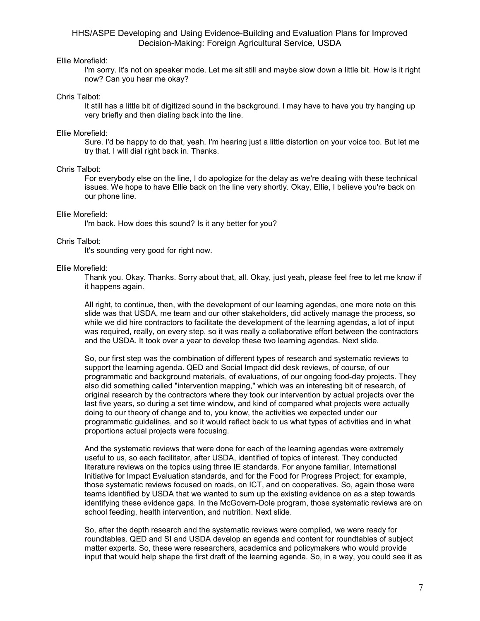## Ellie Morefield:

I'm sorry. It's not on speaker mode. Let me sit still and maybe slow down a little bit. How is it right now? Can you hear me okay?

### Chris Talbot:

It still has a little bit of digitized sound in the background. I may have to have you try hanging up very briefly and then dialing back into the line.

### Ellie Morefield:

Sure. I'd be happy to do that, yeah. I'm hearing just a little distortion on your voice too. But let me try that. I will dial right back in. Thanks.

### Chris Talbot:

For everybody else on the line, I do apologize for the delay as we're dealing with these technical issues. We hope to have Ellie back on the line very shortly. Okay, Ellie, I believe you're back on our phone line.

### Ellie Morefield:

I'm back. How does this sound? Is it any better for you?

### Chris Talbot:

It's sounding very good for right now.

### Ellie Morefield:

Thank you. Okay. Thanks. Sorry about that, all. Okay, just yeah, please feel free to let me know if it happens again.

All right, to continue, then, with the development of our learning agendas, one more note on this slide was that USDA, me team and our other stakeholders, did actively manage the process, so while we did hire contractors to facilitate the development of the learning agendas, a lot of input was required, really, on every step, so it was really a collaborative effort between the contractors and the USDA. It took over a year to develop these two learning agendas. Next slide.

So, our first step was the combination of different types of research and systematic reviews to support the learning agenda. QED and Social Impact did desk reviews, of course, of our programmatic and background materials, of evaluations, of our ongoing food-day projects. They also did something called "intervention mapping," which was an interesting bit of research, of original research by the contractors where they took our intervention by actual projects over the last five years, so during a set time window, and kind of compared what projects were actually doing to our theory of change and to, you know, the activities we expected under our programmatic guidelines, and so it would reflect back to us what types of activities and in what proportions actual projects were focusing.

And the systematic reviews that were done for each of the learning agendas were extremely useful to us, so each facilitator, after USDA, identified of topics of interest. They conducted literature reviews on the topics using three IE standards. For anyone familiar, International Initiative for Impact Evaluation standards, and for the Food for Progress Project; for example, those systematic reviews focused on roads, on ICT, and on cooperatives. So, again those were teams identified by USDA that we wanted to sum up the existing evidence on as a step towards identifying these evidence gaps. In the McGovern-Dole program, those systematic reviews are on school feeding, health intervention, and nutrition. Next slide.

So, after the depth research and the systematic reviews were compiled, we were ready for roundtables. QED and SI and USDA develop an agenda and content for roundtables of subject matter experts. So, these were researchers, academics and policymakers who would provide input that would help shape the first draft of the learning agenda. So, in a way, you could see it as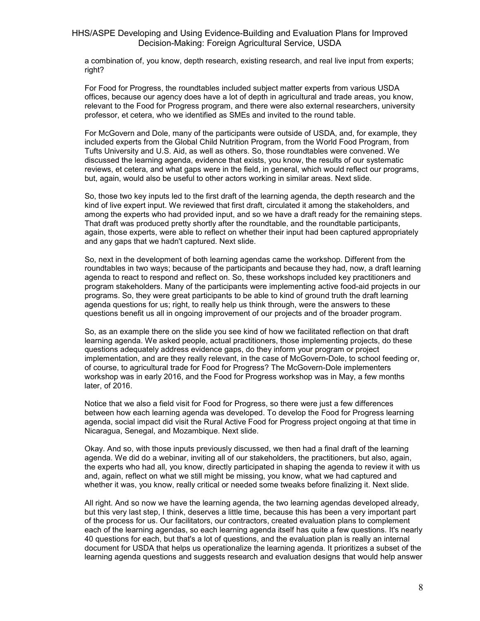a combination of, you know, depth research, existing research, and real live input from experts; right?

For Food for Progress, the roundtables included subject matter experts from various USDA offices, because our agency does have a lot of depth in agricultural and trade areas, you know, relevant to the Food for Progress program, and there were also external researchers, university professor, et cetera, who we identified as SMEs and invited to the round table.

For McGovern and Dole, many of the participants were outside of USDA, and, for example, they included experts from the Global Child Nutrition Program, from the World Food Program, from Tufts University and U.S. Aid, as well as others. So, those roundtables were convened. We discussed the learning agenda, evidence that exists, you know, the results of our systematic reviews, et cetera, and what gaps were in the field, in general, which would reflect our programs, but, again, would also be useful to other actors working in similar areas. Next slide.

So, those two key inputs led to the first draft of the learning agenda, the depth research and the kind of live expert input. We reviewed that first draft, circulated it among the stakeholders, and among the experts who had provided input, and so we have a draft ready for the remaining steps. That draft was produced pretty shortly after the roundtable, and the roundtable participants, again, those experts, were able to reflect on whether their input had been captured appropriately and any gaps that we hadn't captured. Next slide.

So, next in the development of both learning agendas came the workshop. Different from the roundtables in two ways; because of the participants and because they had, now, a draft learning agenda to react to respond and reflect on. So, these workshops included key practitioners and program stakeholders. Many of the participants were implementing active food-aid projects in our programs. So, they were great participants to be able to kind of ground truth the draft learning agenda questions for us; right, to really help us think through, were the answers to these questions benefit us all in ongoing improvement of our projects and of the broader program.

So, as an example there on the slide you see kind of how we facilitated reflection on that draft learning agenda. We asked people, actual practitioners, those implementing projects, do these questions adequately address evidence gaps, do they inform your program or project implementation, and are they really relevant, in the case of McGovern-Dole, to school feeding or, of course, to agricultural trade for Food for Progress? The McGovern-Dole implementers workshop was in early 2016, and the Food for Progress workshop was in May, a few months later, of 2016.

Notice that we also a field visit for Food for Progress, so there were just a few differences between how each learning agenda was developed. To develop the Food for Progress learning agenda, social impact did visit the Rural Active Food for Progress project ongoing at that time in Nicaragua, Senegal, and Mozambique. Next slide.

Okay. And so, with those inputs previously discussed, we then had a final draft of the learning agenda. We did do a webinar, inviting all of our stakeholders, the practitioners, but also, again, the experts who had all, you know, directly participated in shaping the agenda to review it with us and, again, reflect on what we still might be missing, you know, what we had captured and whether it was, you know, really critical or needed some tweaks before finalizing it. Next slide.

All right. And so now we have the learning agenda, the two learning agendas developed already, but this very last step, I think, deserves a little time, because this has been a very important part of the process for us. Our facilitators, our contractors, created evaluation plans to complement each of the learning agendas, so each learning agenda itself has quite a few questions. It's nearly 40 questions for each, but that's a lot of questions, and the evaluation plan is really an internal document for USDA that helps us operationalize the learning agenda. It prioritizes a subset of the learning agenda questions and suggests research and evaluation designs that would help answer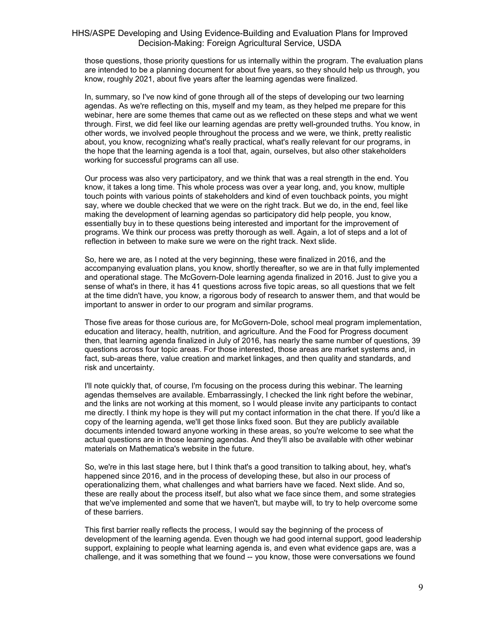those questions, those priority questions for us internally within the program. The evaluation plans are intended to be a planning document for about five years, so they should help us through, you know, roughly 2021, about five years after the learning agendas were finalized.

In, summary, so I've now kind of gone through all of the steps of developing our two learning agendas. As we're reflecting on this, myself and my team, as they helped me prepare for this webinar, here are some themes that came out as we reflected on these steps and what we went through. First, we did feel like our learning agendas are pretty well-grounded truths. You know, in other words, we involved people throughout the process and we were, we think, pretty realistic about, you know, recognizing what's really practical, what's really relevant for our programs, in the hope that the learning agenda is a tool that, again, ourselves, but also other stakeholders working for successful programs can all use.

Our process was also very participatory, and we think that was a real strength in the end. You know, it takes a long time. This whole process was over a year long, and, you know, multiple touch points with various points of stakeholders and kind of even touchback points, you might say, where we double checked that we were on the right track. But we do, in the end, feel like making the development of learning agendas so participatory did help people, you know, essentially buy in to these questions being interested and important for the improvement of programs. We think our process was pretty thorough as well. Again, a lot of steps and a lot of reflection in between to make sure we were on the right track. Next slide.

So, here we are, as I noted at the very beginning, these were finalized in 2016, and the accompanying evaluation plans, you know, shortly thereafter, so we are in that fully implemented and operational stage. The McGovern-Dole learning agenda finalized in 2016. Just to give you a sense of what's in there, it has 41 questions across five topic areas, so all questions that we felt at the time didn't have, you know, a rigorous body of research to answer them, and that would be important to answer in order to our program and similar programs.

Those five areas for those curious are, for McGovern-Dole, school meal program implementation, education and literacy, health, nutrition, and agriculture. And the Food for Progress document then, that learning agenda finalized in July of 2016, has nearly the same number of questions, 39 questions across four topic areas. For those interested, those areas are market systems and, in fact, sub-areas there, value creation and market linkages, and then quality and standards, and risk and uncertainty.

I'll note quickly that, of course, I'm focusing on the process during this webinar. The learning agendas themselves are available. Embarrassingly, I checked the link right before the webinar, and the links are not working at this moment, so I would please invite any participants to contact me directly. I think my hope is they will put my contact information in the chat there. If you'd like a copy of the learning agenda, we'll get those links fixed soon. But they are publicly available documents intended toward anyone working in these areas, so you're welcome to see what the actual questions are in those learning agendas. And they'll also be available with other webinar materials on Mathematica's website in the future.

So, we're in this last stage here, but I think that's a good transition to talking about, hey, what's happened since 2016, and in the process of developing these, but also in our process of operationalizing them, what challenges and what barriers have we faced. Next slide. And so, these are really about the process itself, but also what we face since them, and some strategies that we've implemented and some that we haven't, but maybe will, to try to help overcome some of these barriers.

This first barrier really reflects the process, I would say the beginning of the process of development of the learning agenda. Even though we had good internal support, good leadership support, explaining to people what learning agenda is, and even what evidence gaps are, was a challenge, and it was something that we found -- you know, those were conversations we found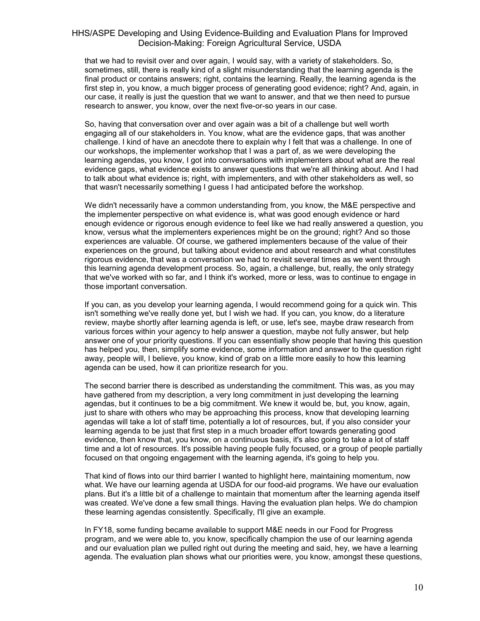that we had to revisit over and over again, I would say, with a variety of stakeholders. So, sometimes, still, there is really kind of a slight misunderstanding that the learning agenda is the final product or contains answers; right, contains the learning. Really, the learning agenda is the first step in, you know, a much bigger process of generating good evidence; right? And, again, in our case, it really is just the question that we want to answer, and that we then need to pursue research to answer, you know, over the next five-or-so years in our case.

So, having that conversation over and over again was a bit of a challenge but well worth engaging all of our stakeholders in. You know, what are the evidence gaps, that was another challenge. I kind of have an anecdote there to explain why I felt that was a challenge. In one of our workshops, the implementer workshop that I was a part of, as we were developing the learning agendas, you know, I got into conversations with implementers about what are the real evidence gaps, what evidence exists to answer questions that we're all thinking about. And I had to talk about what evidence is; right, with implementers, and with other stakeholders as well, so that wasn't necessarily something I guess I had anticipated before the workshop.

We didn't necessarily have a common understanding from, you know, the M&E perspective and the implementer perspective on what evidence is, what was good enough evidence or hard enough evidence or rigorous enough evidence to feel like we had really answered a question, you know, versus what the implementers experiences might be on the ground; right? And so those experiences are valuable. Of course, we gathered implementers because of the value of their experiences on the ground, but talking about evidence and about research and what constitutes rigorous evidence, that was a conversation we had to revisit several times as we went through this learning agenda development process. So, again, a challenge, but, really, the only strategy that we've worked with so far, and I think it's worked, more or less, was to continue to engage in those important conversation.

If you can, as you develop your learning agenda, I would recommend going for a quick win. This isn't something we've really done yet, but I wish we had. If you can, you know, do a literature review, maybe shortly after learning agenda is left, or use, let's see, maybe draw research from various forces within your agency to help answer a question, maybe not fully answer, but help answer one of your priority questions. If you can essentially show people that having this question has helped you, then, simplify some evidence, some information and answer to the question right away, people will, I believe, you know, kind of grab on a little more easily to how this learning agenda can be used, how it can prioritize research for you.

The second barrier there is described as understanding the commitment. This was, as you may have gathered from my description, a very long commitment in just developing the learning agendas, but it continues to be a big commitment. We knew it would be, but, you know, again, just to share with others who may be approaching this process, know that developing learning agendas will take a lot of staff time, potentially a lot of resources, but, if you also consider your learning agenda to be just that first step in a much broader effort towards generating good evidence, then know that, you know, on a continuous basis, it's also going to take a lot of staff time and a lot of resources. It's possible having people fully focused, or a group of people partially focused on that ongoing engagement with the learning agenda, it's going to help you.

That kind of flows into our third barrier I wanted to highlight here, maintaining momentum, now what. We have our learning agenda at USDA for our food-aid programs. We have our evaluation plans. But it's a little bit of a challenge to maintain that momentum after the learning agenda itself was created. We've done a few small things. Having the evaluation plan helps. We do champion these learning agendas consistently. Specifically, I'll give an example.

In FY18, some funding became available to support M&E needs in our Food for Progress program, and we were able to, you know, specifically champion the use of our learning agenda and our evaluation plan we pulled right out during the meeting and said, hey, we have a learning agenda. The evaluation plan shows what our priorities were, you know, amongst these questions,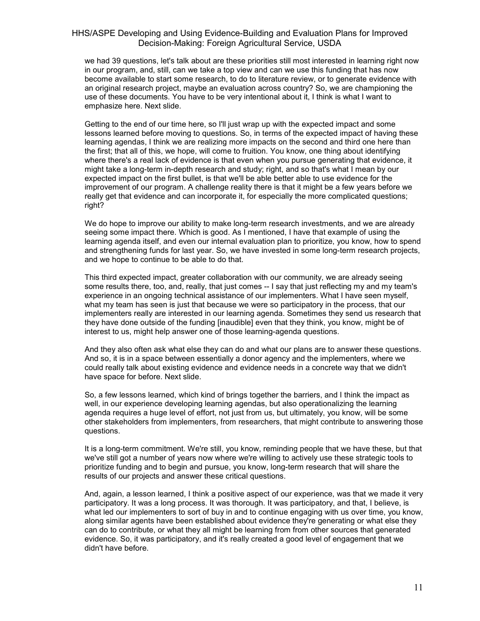we had 39 questions, let's talk about are these priorities still most interested in learning right now in our program, and, still, can we take a top view and can we use this funding that has now become available to start some research, to do to literature review, or to generate evidence with an original research project, maybe an evaluation across country? So, we are championing the use of these documents. You have to be very intentional about it, I think is what I want to emphasize here. Next slide.

Getting to the end of our time here, so I'll just wrap up with the expected impact and some lessons learned before moving to questions. So, in terms of the expected impact of having these learning agendas, I think we are realizing more impacts on the second and third one here than the first; that all of this, we hope, will come to fruition. You know, one thing about identifying where there's a real lack of evidence is that even when you pursue generating that evidence, it might take a long-term in-depth research and study; right, and so that's what I mean by our expected impact on the first bullet, is that we'll be able better able to use evidence for the improvement of our program. A challenge reality there is that it might be a few years before we really get that evidence and can incorporate it, for especially the more complicated questions; right?

We do hope to improve our ability to make long-term research investments, and we are already seeing some impact there. Which is good. As I mentioned, I have that example of using the learning agenda itself, and even our internal evaluation plan to prioritize, you know, how to spend and strengthening funds for last year. So, we have invested in some long-term research projects, and we hope to continue to be able to do that.

This third expected impact, greater collaboration with our community, we are already seeing some results there, too, and, really, that just comes -- I say that just reflecting my and my team's experience in an ongoing technical assistance of our implementers. What I have seen myself, what my team has seen is just that because we were so participatory in the process, that our implementers really are interested in our learning agenda. Sometimes they send us research that they have done outside of the funding [inaudible] even that they think, you know, might be of interest to us, might help answer one of those learning-agenda questions.

And they also often ask what else they can do and what our plans are to answer these questions. And so, it is in a space between essentially a donor agency and the implementers, where we could really talk about existing evidence and evidence needs in a concrete way that we didn't have space for before. Next slide.

So, a few lessons learned, which kind of brings together the barriers, and I think the impact as well, in our experience developing learning agendas, but also operationalizing the learning agenda requires a huge level of effort, not just from us, but ultimately, you know, will be some other stakeholders from implementers, from researchers, that might contribute to answering those questions.

It is a long-term commitment. We're still, you know, reminding people that we have these, but that we've still got a number of years now where we're willing to actively use these strategic tools to prioritize funding and to begin and pursue, you know, long-term research that will share the results of our projects and answer these critical questions.

And, again, a lesson learned, I think a positive aspect of our experience, was that we made it very participatory. It was a long process. It was thorough. It was participatory, and that, I believe, is what led our implementers to sort of buy in and to continue engaging with us over time, you know, along similar agents have been established about evidence they're generating or what else they can do to contribute, or what they all might be learning from from other sources that generated evidence. So, it was participatory, and it's really created a good level of engagement that we didn't have before.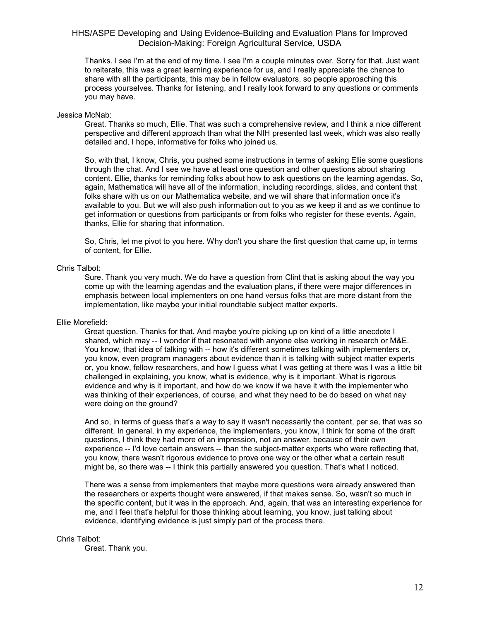Thanks. I see I'm at the end of my time. I see I'm a couple minutes over. Sorry for that. Just want to reiterate, this was a great learning experience for us, and I really appreciate the chance to share with all the participants, this may be in fellow evaluators, so people approaching this process yourselves. Thanks for listening, and I really look forward to any questions or comments you may have.

### Jessica McNab:

Great. Thanks so much, Ellie. That was such a comprehensive review, and I think a nice different perspective and different approach than what the NIH presented last week, which was also really detailed and, I hope, informative for folks who joined us.

So, with that, I know, Chris, you pushed some instructions in terms of asking Ellie some questions through the chat. And I see we have at least one question and other questions about sharing content. Ellie, thanks for reminding folks about how to ask questions on the learning agendas. So, again, Mathematica will have all of the information, including recordings, slides, and content that folks share with us on our Mathematica website, and we will share that information once it's available to you. But we will also push information out to you as we keep it and as we continue to get information or questions from participants or from folks who register for these events. Again, thanks, Ellie for sharing that information.

So, Chris, let me pivot to you here. Why don't you share the first question that came up, in terms of content, for Ellie.

### Chris Talbot:

Sure. Thank you very much. We do have a question from Clint that is asking about the way you come up with the learning agendas and the evaluation plans, if there were major differences in emphasis between local implementers on one hand versus folks that are more distant from the implementation, like maybe your initial roundtable subject matter experts.

### Ellie Morefield:

Great question. Thanks for that. And maybe you're picking up on kind of a little anecdote I shared, which may -- I wonder if that resonated with anyone else working in research or M&E. You know, that idea of talking with -- how it's different sometimes talking with implementers or, you know, even program managers about evidence than it is talking with subject matter experts or, you know, fellow researchers, and how I guess what I was getting at there was I was a little bit challenged in explaining, you know, what is evidence, why is it important. What is rigorous evidence and why is it important, and how do we know if we have it with the implementer who was thinking of their experiences, of course, and what they need to be do based on what nay were doing on the ground?

And so, in terms of guess that's a way to say it wasn't necessarily the content, per se, that was so different. In general, in my experience, the implementers, you know, I think for some of the draft questions, I think they had more of an impression, not an answer, because of their own experience -- I'd love certain answers -- than the subject-matter experts who were reflecting that, you know, there wasn't rigorous evidence to prove one way or the other what a certain result might be, so there was -- I think this partially answered you question. That's what I noticed.

There was a sense from implementers that maybe more questions were already answered than the researchers or experts thought were answered, if that makes sense. So, wasn't so much in the specific content, but it was in the approach. And, again, that was an interesting experience for me, and I feel that's helpful for those thinking about learning, you know, just talking about evidence, identifying evidence is just simply part of the process there.

### Chris Talbot:

Great. Thank you.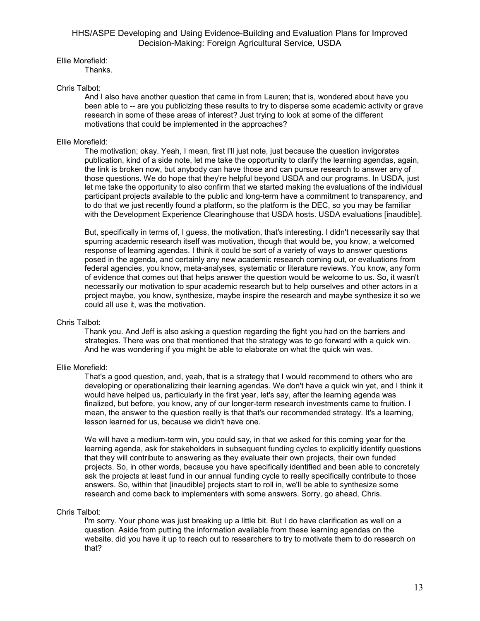Ellie Morefield:

Thanks.

## Chris Talbot:

And I also have another question that came in from Lauren; that is, wondered about have you been able to -- are you publicizing these results to try to disperse some academic activity or grave research in some of these areas of interest? Just trying to look at some of the different motivations that could be implemented in the approaches?

## Ellie Morefield:

The motivation; okay. Yeah, I mean, first I'll just note, just because the question invigorates publication, kind of a side note, let me take the opportunity to clarify the learning agendas, again, the link is broken now, but anybody can have those and can pursue research to answer any of those questions. We do hope that they're helpful beyond USDA and our programs. In USDA, just let me take the opportunity to also confirm that we started making the evaluations of the individual participant projects available to the public and long-term have a commitment to transparency, and to do that we just recently found a platform, so the platform is the DEC, so you may be familiar with the Development Experience Clearinghouse that USDA hosts. USDA evaluations [inaudible].

But, specifically in terms of, I guess, the motivation, that's interesting. I didn't necessarily say that spurring academic research itself was motivation, though that would be, you know, a welcomed response of learning agendas. I think it could be sort of a variety of ways to answer questions posed in the agenda, and certainly any new academic research coming out, or evaluations from federal agencies, you know, meta-analyses, systematic or literature reviews. You know, any form of evidence that comes out that helps answer the question would be welcome to us. So, it wasn't necessarily our motivation to spur academic research but to help ourselves and other actors in a project maybe, you know, synthesize, maybe inspire the research and maybe synthesize it so we could all use it, was the motivation.

### Chris Talbot:

Thank you. And Jeff is also asking a question regarding the fight you had on the barriers and strategies. There was one that mentioned that the strategy was to go forward with a quick win. And he was wondering if you might be able to elaborate on what the quick win was.

# Ellie Morefield:

That's a good question, and, yeah, that is a strategy that I would recommend to others who are developing or operationalizing their learning agendas. We don't have a quick win yet, and I think it would have helped us, particularly in the first year, let's say, after the learning agenda was finalized, but before, you know, any of our longer-term research investments came to fruition. I mean, the answer to the question really is that that's our recommended strategy. It's a learning, lesson learned for us, because we didn't have one.

We will have a medium-term win, you could say, in that we asked for this coming year for the learning agenda, ask for stakeholders in subsequent funding cycles to explicitly identify questions that they will contribute to answering as they evaluate their own projects, their own funded projects. So, in other words, because you have specifically identified and been able to concretely ask the projects at least fund in our annual funding cycle to really specifically contribute to those answers. So, within that [inaudible] projects start to roll in, we'll be able to synthesize some research and come back to implementers with some answers. Sorry, go ahead, Chris.

### Chris Talbot:

I'm sorry. Your phone was just breaking up a little bit. But I do have clarification as well on a question. Aside from putting the information available from these learning agendas on the website, did you have it up to reach out to researchers to try to motivate them to do research on that?